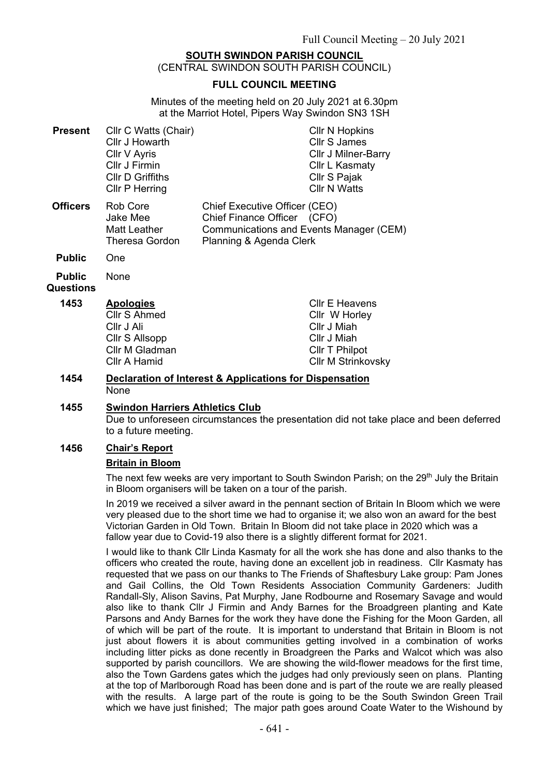# **SOUTH SWINDON PARISH COUNCIL**

(CENTRAL SWINDON SOUTH PARISH COUNCIL)

#### **FULL COUNCIL MEETING**

Minutes of the meeting held on 20 July 2021 at 6.30pm at the Marriot Hotel, Pipers Way Swindon SN3 1SH

| <b>Present</b>             | Cllr C Watts (Chair)<br>Cllr J Howarth<br>Cllr V Ayris<br>Cllr J Firmin<br><b>CIIr D Griffiths</b><br><b>CIIr P Herring</b> |                                                                                         | <b>CIIr N Hopkins</b><br><b>Cllr S James</b><br>Cllr J Milner-Barry<br>Cllr L Kasmaty<br>Cllr S Pajak<br><b>Cllr N Watts</b> |
|----------------------------|-----------------------------------------------------------------------------------------------------------------------------|-----------------------------------------------------------------------------------------|------------------------------------------------------------------------------------------------------------------------------|
| <b>Officers</b>            | Rob Core<br>Jake Mee<br>Matt Leather<br><b>Theresa Gordon</b>                                                               | Chief Executive Officer (CEO)<br>Chief Finance Officer (CFO)<br>Planning & Agenda Clerk | Communications and Events Manager (CEM)                                                                                      |
| <b>Public</b>              | One                                                                                                                         |                                                                                         |                                                                                                                              |
| <b>Public</b><br>Questions | None                                                                                                                        |                                                                                         |                                                                                                                              |
| 1453                       | <b>Apologies</b><br>Cllr S Ahmed<br>Cllr J Ali<br>Cllr S Allsopp<br>Cllr M Gladman<br>Cllr A Hamid                          |                                                                                         | <b>CIIr E Heavens</b><br>Cllr W Horley<br>Cllr J Miah<br>Cllr J Miah<br>Cllr T Philpot<br><b>CIIr M Strinkovsky</b>          |

#### **1454 Declaration of Interest & Applications for Dispensation** None

#### **1455 Swindon Harriers Athletics Club**

Due to unforeseen circumstances the presentation did not take place and been deferred to a future meeting.

### **1456 Chair's Report**

#### **Britain in Bloom**

The next few weeks are very important to South Swindon Parish; on the 29<sup>th</sup> July the Britain in Bloom organisers will be taken on a tour of the parish.

In 2019 we received a silver award in the pennant section of Britain In Bloom which we were very pleased due to the short time we had to organise it; we also won an award for the best Victorian Garden in Old Town. Britain In Bloom did not take place in 2020 which was a fallow year due to Covid-19 also there is a slightly different format for 2021.

I would like to thank Cllr Linda Kasmaty for all the work she has done and also thanks to the officers who created the route, having done an excellent job in readiness. Cllr Kasmaty has requested that we pass on our thanks to The Friends of Shaftesbury Lake group: Pam Jones and Gail Collins, the Old Town Residents Association Community Gardeners: Judith Randall-Sly, Alison Savins, Pat Murphy, Jane Rodbourne and Rosemary Savage and would also like to thank Cllr J Firmin and Andy Barnes for the Broadgreen planting and Kate Parsons and Andy Barnes for the work they have done the Fishing for the Moon Garden, all of which will be part of the route. It is important to understand that Britain in Bloom is not just about flowers it is about communities getting involved in a combination of works including litter picks as done recently in Broadgreen the Parks and Walcot which was also supported by parish councillors. We are showing the wild-flower meadows for the first time, also the Town Gardens gates which the judges had only previously seen on plans. Planting at the top of Marlborough Road has been done and is part of the route we are really pleased with the results. A large part of the route is going to be the South Swindon Green Trail which we have just finished; The major path goes around Coate Water to the Wishound by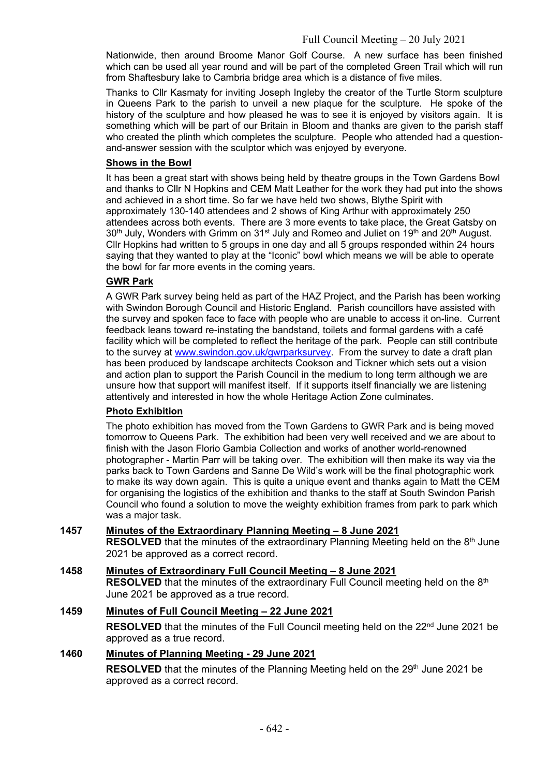Nationwide, then around Broome Manor Golf Course. A new surface has been finished which can be used all year round and will be part of the completed Green Trail which will run from Shaftesbury lake to Cambria bridge area which is a distance of five miles.

Thanks to Cllr Kasmaty for inviting Joseph Ingleby the creator of the Turtle Storm sculpture in Queens Park to the parish to unveil a new plaque for the sculpture. He spoke of the history of the sculpture and how pleased he was to see it is enjoyed by visitors again. It is something which will be part of our Britain in Bloom and thanks are given to the parish staff who created the plinth which completes the sculpture. People who attended had a questionand-answer session with the sculptor which was enjoyed by everyone.

#### **Shows in the Bowl**

It has been a great start with shows being held by theatre groups in the Town Gardens Bowl and thanks to Cllr N Hopkins and CEM Matt Leather for the work they had put into the shows and achieved in a short time. So far we have held two shows, Blythe Spirit with approximately 130-140 attendees and 2 shows of King Arthur with approximately 250 attendees across both events. There are 3 more events to take place, the Great Gatsby on 30<sup>th</sup> July, Wonders with Grimm on 31<sup>st</sup> July and Romeo and Juliet on 19<sup>th</sup> and 20<sup>th</sup> August. Cllr Hopkins had written to 5 groups in one day and all 5 groups responded within 24 hours saying that they wanted to play at the "Iconic" bowl which means we will be able to operate the bowl for far more events in the coming years.

### **GWR Park**

A GWR Park survey being held as part of the HAZ Project, and the Parish has been working with Swindon Borough Council and Historic England. Parish councillors have assisted with the survey and spoken face to face with people who are unable to access it on-line. Current feedback leans toward re-instating the bandstand, toilets and formal gardens with a café facility which will be completed to reflect the heritage of the park. People can still contribute to the survey at [www.swindon.gov.uk/gwrparksurvey.](http://www.swindon.gov.uk/gwrparksurvey) From the survey to date a draft plan has been produced by landscape architects Cookson and Tickner which sets out a vision and action plan to support the Parish Council in the medium to long term although we are unsure how that support will manifest itself. If it supports itself financially we are listening attentively and interested in how the whole Heritage Action Zone culminates.

### **Photo Exhibition**

The photo exhibition has moved from the Town Gardens to GWR Park and is being moved tomorrow to Queens Park. The exhibition had been very well received and we are about to finish with the Jason Florio Gambia Collection and works of another world-renowned photographer - Martin Parr will be taking over. The exhibition will then make its way via the parks back to Town Gardens and Sanne De Wild's work will be the final photographic work to make its way down again. This is quite a unique event and thanks again to Matt the CEM for organising the logistics of the exhibition and thanks to the staff at South Swindon Parish Council who found a solution to move the weighty exhibition frames from park to park which was a major task.

### **1457 Minutes of the Extraordinary Planning Meeting – 8 June 2021**

**RESOLVED** that the minutes of the extraordinary Planning Meeting held on the 8<sup>th</sup> June 2021 be approved as a correct record.

### **1458 Minutes of Extraordinary Full Council Meeting – 8 June 2021**

**RESOLVED** that the minutes of the extraordinary Full Council meeting held on the 8<sup>th</sup> June 2021 be approved as a true record.

# **1459 Minutes of Full Council Meeting – 22 June 2021**

**RESOLVED** that the minutes of the Full Council meeting held on the 22<sup>nd</sup> June 2021 be approved as a true record.

### **1460 Minutes of Planning Meeting - 29 June 2021**

**RESOLVED** that the minutes of the Planning Meeting held on the 29<sup>th</sup> June 2021 be approved as a correct record.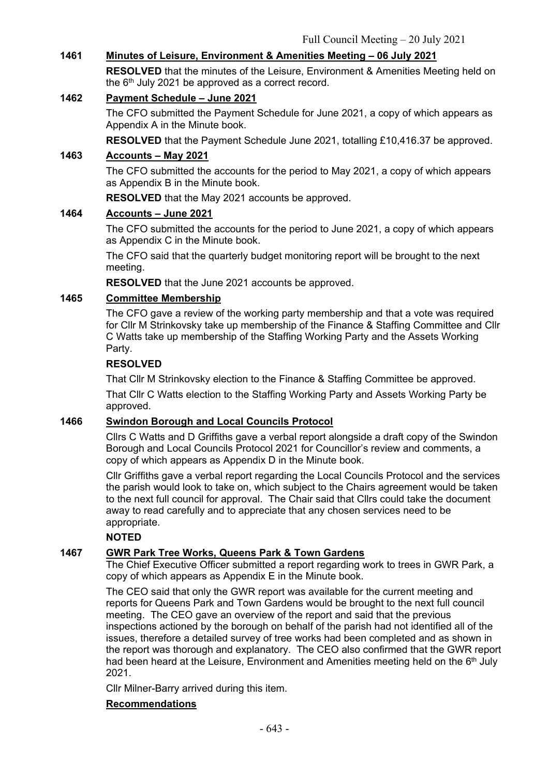# **1461 Minutes of Leisure, Environment & Amenities Meeting – 06 July 2021**

**RESOLVED** that the minutes of the Leisure, Environment & Amenities Meeting held on the 6<sup>th</sup> July 2021 be approved as a correct record.

# **1462 Payment Schedule – June 2021**

The CFO submitted the Payment Schedule for June 2021, a copy of which appears as Appendix A in the Minute book.

**RESOLVED** that the Payment Schedule June 2021, totalling £10,416.37 be approved.

# **1463 Accounts – May 2021**

The CFO submitted the accounts for the period to May 2021, a copy of which appears as Appendix B in the Minute book.

**RESOLVED** that the May 2021 accounts be approved.

### **1464 Accounts – June 2021**

The CFO submitted the accounts for the period to June 2021, a copy of which appears as Appendix C in the Minute book.

The CFO said that the quarterly budget monitoring report will be brought to the next meeting.

**RESOLVED** that the June 2021 accounts be approved.

# **1465 Committee Membership**

The CFO gave a review of the working party membership and that a vote was required for Cllr M Strinkovsky take up membership of the Finance & Staffing Committee and Cllr C Watts take up membership of the Staffing Working Party and the Assets Working Party.

### **RESOLVED**

That Cllr M Strinkovsky election to the Finance & Staffing Committee be approved.

That Cllr C Watts election to the Staffing Working Party and Assets Working Party be approved.

### **1466 Swindon Borough and Local Councils Protocol**

Cllrs C Watts and D Griffiths gave a verbal report alongside a draft copy of the Swindon Borough and Local Councils Protocol 2021 for Councillor's review and comments, a copy of which appears as Appendix D in the Minute book.

Cllr Griffiths gave a verbal report regarding the Local Councils Protocol and the services the parish would look to take on, which subject to the Chairs agreement would be taken to the next full council for approval. The Chair said that Cllrs could take the document away to read carefully and to appreciate that any chosen services need to be appropriate.

### **NOTED**

# **1467 GWR Park Tree Works, Queens Park & Town Gardens**

The Chief Executive Officer submitted a report regarding work to trees in GWR Park, a copy of which appears as Appendix E in the Minute book.

The CEO said that only the GWR report was available for the current meeting and reports for Queens Park and Town Gardens would be brought to the next full council meeting. The CEO gave an overview of the report and said that the previous inspections actioned by the borough on behalf of the parish had not identified all of the issues, therefore a detailed survey of tree works had been completed and as shown in the report was thorough and explanatory. The CEO also confirmed that the GWR report had been heard at the Leisure. Environment and Amenities meeting held on the 6<sup>th</sup> July 2021.

Cllr Milner-Barry arrived during this item.

### **Recommendations**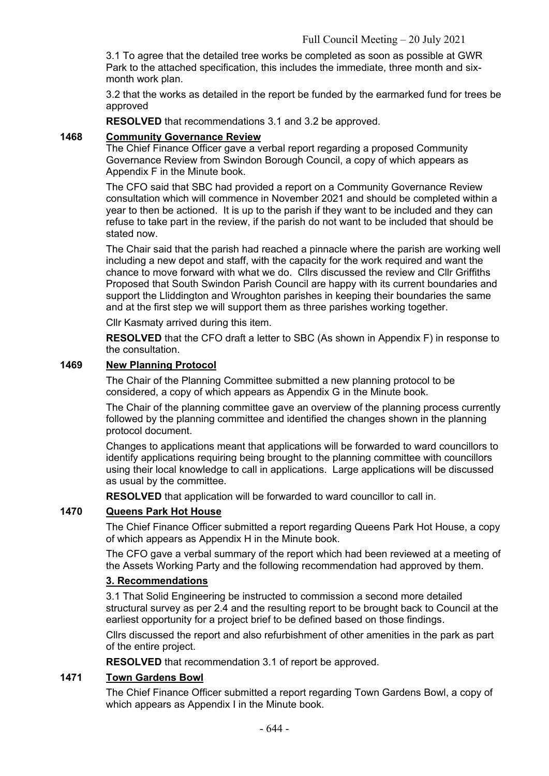3.1 To agree that the detailed tree works be completed as soon as possible at GWR Park to the attached specification, this includes the immediate, three month and sixmonth work plan.

3.2 that the works as detailed in the report be funded by the earmarked fund for trees be approved

**RESOLVED** that recommendations 3.1 and 3.2 be approved.

## **1468 Community Governance Review**

The Chief Finance Officer gave a verbal report regarding a proposed Community Governance Review from Swindon Borough Council, a copy of which appears as Appendix F in the Minute book.

The CFO said that SBC had provided a report on a Community Governance Review consultation which will commence in November 2021 and should be completed within a year to then be actioned. It is up to the parish if they want to be included and they can refuse to take part in the review, if the parish do not want to be included that should be stated now.

The Chair said that the parish had reached a pinnacle where the parish are working well including a new depot and staff, with the capacity for the work required and want the chance to move forward with what we do. Cllrs discussed the review and Cllr Griffiths Proposed that South Swindon Parish Council are happy with its current boundaries and support the Lliddington and Wroughton parishes in keeping their boundaries the same and at the first step we will support them as three parishes working together.

Cllr Kasmaty arrived during this item.

**RESOLVED** that the CFO draft a letter to SBC (As shown in Appendix F) in response to the consultation.

### **1469 New Planning Protocol**

The Chair of the Planning Committee submitted a new planning protocol to be considered, a copy of which appears as Appendix G in the Minute book.

The Chair of the planning committee gave an overview of the planning process currently followed by the planning committee and identified the changes shown in the planning protocol document.

Changes to applications meant that applications will be forwarded to ward councillors to identify applications requiring being brought to the planning committee with councillors using their local knowledge to call in applications. Large applications will be discussed as usual by the committee.

**RESOLVED** that application will be forwarded to ward councillor to call in.

# **1470 Queens Park Hot House**

The Chief Finance Officer submitted a report regarding Queens Park Hot House, a copy of which appears as Appendix H in the Minute book.

The CFO gave a verbal summary of the report which had been reviewed at a meeting of the Assets Working Party and the following recommendation had approved by them.

### **3. Recommendations**

3.1 That Solid Engineering be instructed to commission a second more detailed structural survey as per 2.4 and the resulting report to be brought back to Council at the earliest opportunity for a project brief to be defined based on those findings.

Cllrs discussed the report and also refurbishment of other amenities in the park as part of the entire project.

**RESOLVED** that recommendation 3.1 of report be approved.

## **1471 Town Gardens Bowl**

The Chief Finance Officer submitted a report regarding Town Gardens Bowl, a copy of which appears as Appendix I in the Minute book.